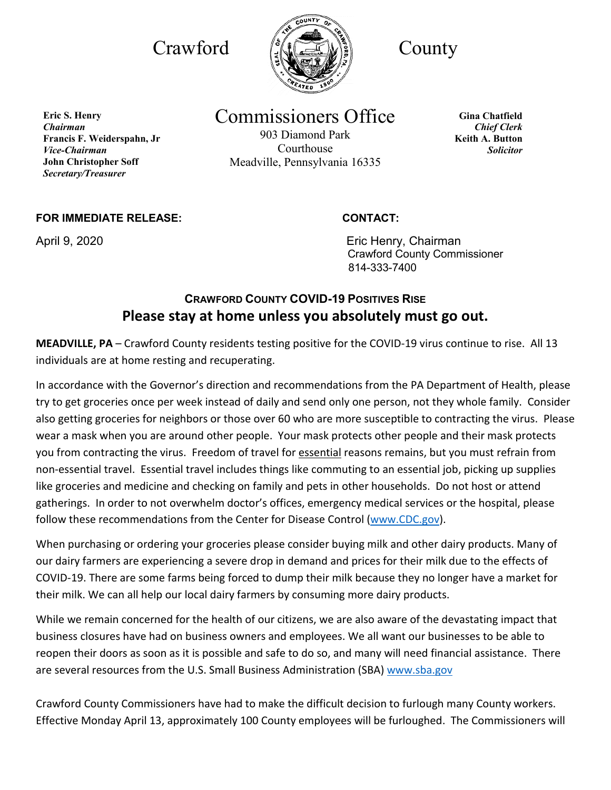

Commissioners Office

903 Diamond Park Courthouse Meadville, Pennsylvania 16335

**Gina Chatfield** *Chief Clerk* **Keith A. Button** *Solicitor*

**FOR IMMEDIATE RELEASE: CONTACT:**

**Francis F. Weiderspahn, Jr** 

**John Christopher Soff** *Secretary/Treasurer*

**Eric S. Henry** *Chairman*

*Vice-Chairman*

April 9, 2020 **April 9, 2020 Existing Lines Except** Eric Henry, Chairman Crawford County Commissioner 814-333-7400

## **CRAWFORD COUNTY COVID-19 POSITIVES RISE Please stay at home unless you absolutely must go out.**

**MEADVILLE, PA** – Crawford County residents testing positive for the COVID-19 virus continue to rise. All 13 individuals are at home resting and recuperating.

In accordance with the Governor's direction and recommendations from the PA Department of Health, please try to get groceries once per week instead of daily and send only one person, not they whole family. Consider also getting groceries for neighbors or those over 60 who are more susceptible to contracting the virus. Please wear a mask when you are around other people. Your mask protects other people and their mask protects you from contracting the virus. Freedom of travel for essential reasons remains, but you must refrain from non-essential travel. Essential travel includes things like commuting to an essential job, picking up supplies like groceries and medicine and checking on family and pets in other households. Do not host or attend gatherings. In order to not overwhelm doctor's offices, emergency medical services or the hospital, please follow these recommendations from the Center for Disease Control (www.CDC.gov).

When purchasing or ordering your groceries please consider buying milk and other dairy products. Many of our dairy farmers are experiencing a severe drop in demand and prices for their milk due to the effects of COVID-19. There are some farms being forced to dump their milk because they no longer have a market for their milk. We can all help our local dairy farmers by consuming more dairy products.

While we remain concerned for the health of our citizens, we are also aware of the devastating impact that business closures have had on business owners and employees. We all want our businesses to be able to reopen their doors as soon as it is possible and safe to do so, and many will need financial assistance. There are several resources from the U.S. Small Business Administration (SBA) www.sba.gov

Crawford County Commissioners have had to make the difficult decision to furlough many County workers. Effective Monday April 13, approximately 100 County employees will be furloughed. The Commissioners will